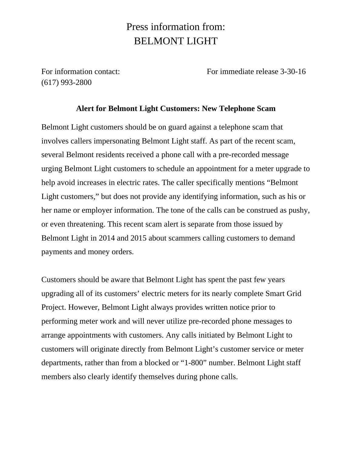## Press information from: BELMONT LIGHT

(617) 993-2800

For information contact: For immediate release 3-30-16

## **Alert for Belmont Light Customers: New Telephone Scam**

Belmont Light customers should be on guard against a telephone scam that involves callers impersonating Belmont Light staff. As part of the recent scam, several Belmont residents received a phone call with a pre-recorded message urging Belmont Light customers to schedule an appointment for a meter upgrade to help avoid increases in electric rates. The caller specifically mentions "Belmont Light customers," but does not provide any identifying information, such as his or her name or employer information. The tone of the calls can be construed as pushy, or even threatening. This recent scam alert is separate from those issued by Belmont Light in 2014 and 2015 about scammers calling customers to demand payments and money orders.

Customers should be aware that Belmont Light has spent the past few years upgrading all of its customers' electric meters for its nearly complete Smart Grid Project. However, Belmont Light always provides written notice prior to performing meter work and will never utilize pre-recorded phone messages to arrange appointments with customers. Any calls initiated by Belmont Light to customers will originate directly from Belmont Light's customer service or meter departments, rather than from a blocked or "1-800" number. Belmont Light staff members also clearly identify themselves during phone calls.